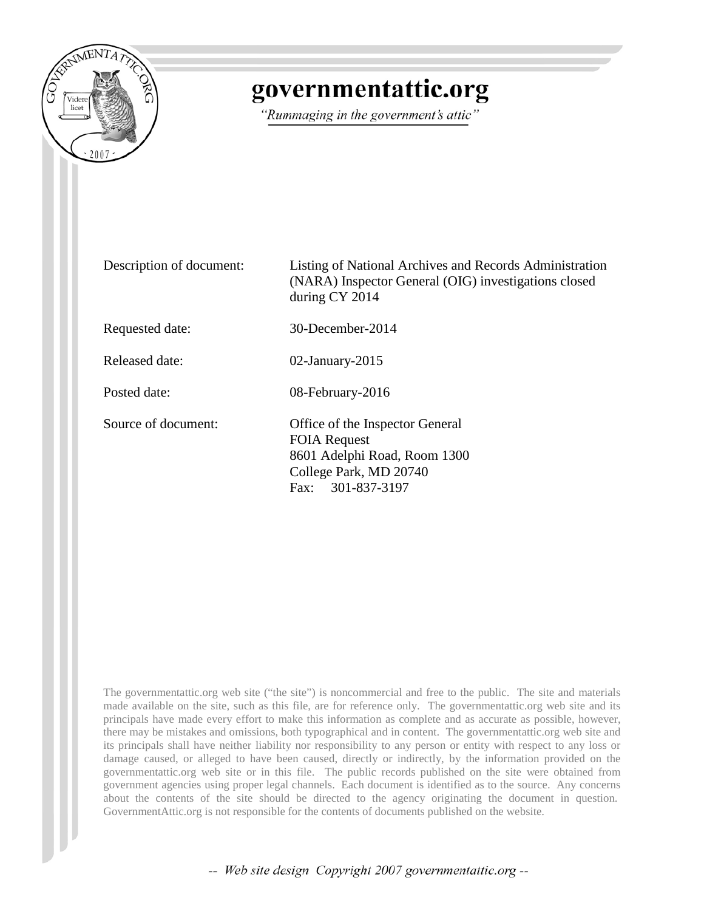

## governmentattic.org

"Rummaging in the government's attic"

Description of document: Listing of National Archives and Records Administration (NARA) Inspector General (OIG) investigations closed during CY 2014 Requested date: 30-December-2014 Released date: 02-January-2015 Posted date: 08-February-2016 Source of document: Office of the Inspector General FOIA Request 8601 Adelphi Road, Room 1300 College Park, MD 20740 Fax: 301-837-3197

The governmentattic.org web site ("the site") is noncommercial and free to the public. The site and materials made available on the site, such as this file, are for reference only. The governmentattic.org web site and its principals have made every effort to make this information as complete and as accurate as possible, however, there may be mistakes and omissions, both typographical and in content. The governmentattic.org web site and its principals shall have neither liability nor responsibility to any person or entity with respect to any loss or damage caused, or alleged to have been caused, directly or indirectly, by the information provided on the governmentattic.org web site or in this file. The public records published on the site were obtained from government agencies using proper legal channels. Each document is identified as to the source. Any concerns about the contents of the site should be directed to the agency originating the document in question. GovernmentAttic.org is not responsible for the contents of documents published on the website.

-- Web site design Copyright 2007 governmentattic.org --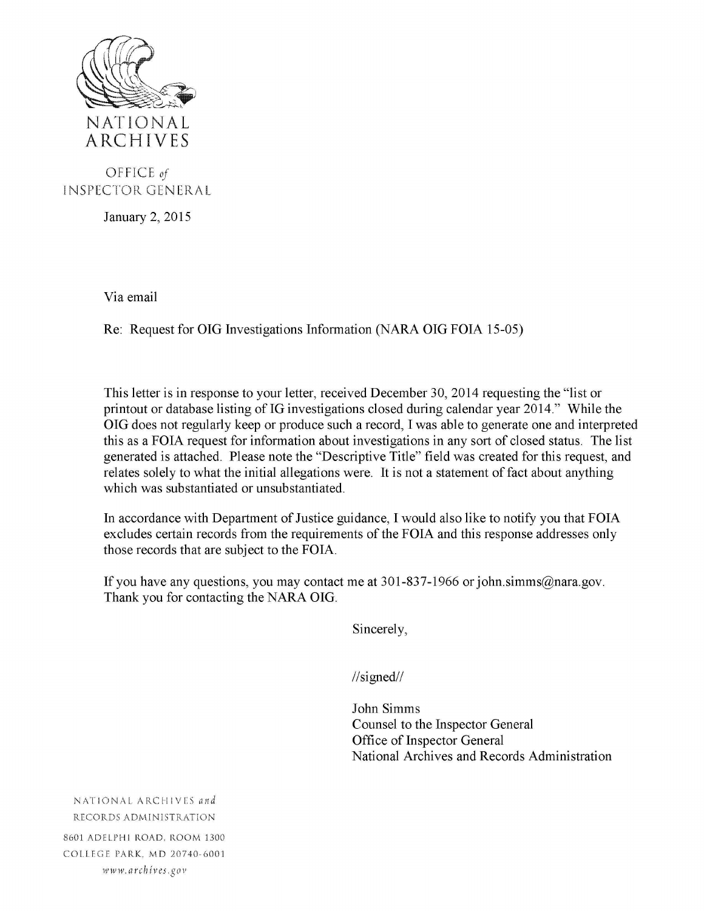

## OFFICE *of*  IN SPECTOR GEN ERAL

January 2, 2015

Via email

Re: Request for OIG Investigations Information (NARA OIG FOIA 15-05)

This letter is in response to your letter, received December 30, 2014 requesting the "list or printout or database listing of IG investigations closed during calendar year 2014." While the OIG does not regularly keep or produce such a record, I was able to generate one and interpreted this as a FOIA request for information about investigations in any sort of closed status. The list generated is attached. Please note the "Descriptive Title" field was created for this request, and relates solely to what the initial allegations were. It is not a statement of fact about anything which was substantiated or unsubstantiated.

In accordance with Department of Justice guidance, I would also like to notify you that FOIA excludes certain records from the requirements of the FOIA and this response addresses only those records that are subject to the FOIA.

If you have any questions, you may contact me at 301-837-1966 or john.simms@nara.gov. Thank you for contacting the NARA OIG.

Sincerely,

//signed//

John Simms Counsel to the Inspector General Office of Inspector General National Archives and Records Administration

NATIONAL ARCHIVES and RECORDS ADMINISTRATION 8601 ADELPHI ROAD, ROOM 1300 COLLEGE PARK, MD 20740-6001 www. *arch iv es .go v*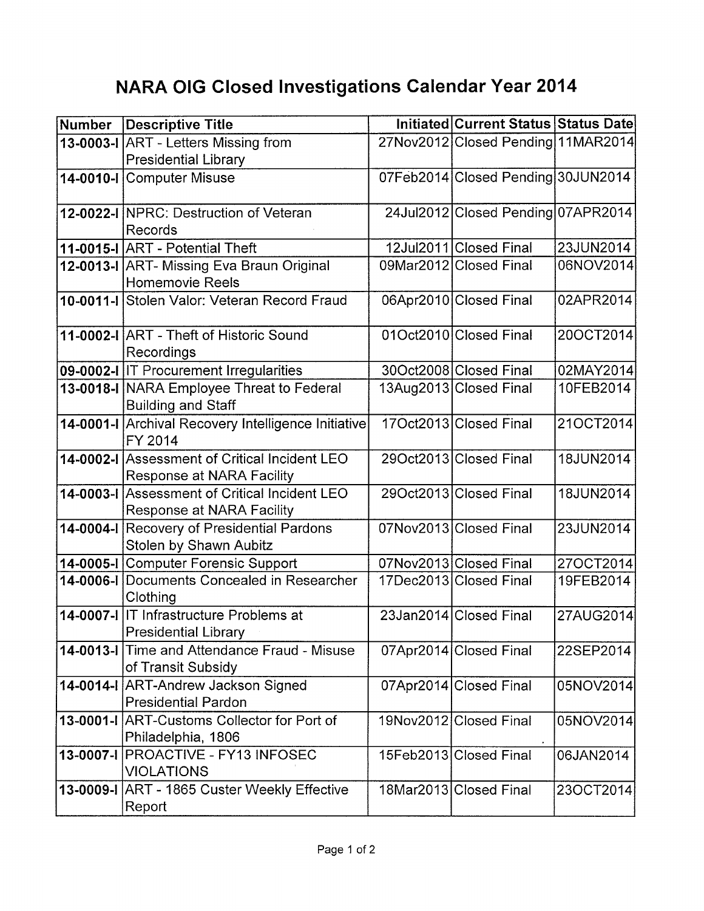## **NARA OIG Closed Investigations Calendar Year 2014**

| <b>Number</b> | Descriptive Title                                                                 | Initiated Current Status Status Date |           |
|---------------|-----------------------------------------------------------------------------------|--------------------------------------|-----------|
|               | 13-0003-I ART - Letters Missing from                                              | 27Nov2012 Closed Pending 11MAR2014   |           |
|               | <b>Presidential Library</b>                                                       |                                      |           |
|               | 14-0010-I Computer Misuse                                                         | 07Feb2014 Closed Pending 30JUN2014   |           |
|               | 12-0022-I NPRC: Destruction of Veteran                                            | 24Jul2012 Closed Pending 07APR2014   |           |
|               | Records                                                                           |                                      |           |
|               | 11-0015-I ART - Potential Theft                                                   | 12Jul2011 Closed Final               | 23JUN2014 |
|               | 12-0013-I ART- Missing Eva Braun Original<br><b>Homemovie Reels</b>               | 09Mar2012 Closed Final               | 06NOV2014 |
|               | 10-0011-I Stolen Valor: Veteran Record Fraud                                      | 06Apr2010 Closed Final               | 02APR2014 |
|               | 11-0002-I ART - Theft of Historic Sound<br>Recordings                             | 01Oct2010 Closed Final               | 20OCT2014 |
|               | 09-0002-I IT Procurement Irregularities                                           | 30Oct2008 Closed Final               | 02MAY2014 |
|               | 13-0018-I NARA Employee Threat to Federal<br><b>Building and Staff</b>            | 13Aug2013 Closed Final               | 10FEB2014 |
|               | 14-0001-I Archival Recovery Intelligence Initiative<br>FY 2014                    | 17Oct2013 Closed Final               | 21OCT2014 |
|               | 14-0002-I Assessment of Critical Incident LEO<br><b>Response at NARA Facility</b> | 29Oct2013 Closed Final               | 18JUN2014 |
|               | 14-0003-I Assessment of Critical Incident LEO<br>Response at NARA Facility        | 29Oct2013 Closed Final               | 18JUN2014 |
|               | 14-0004-I Recovery of Presidential Pardons<br>Stolen by Shawn Aubitz              | 07Nov2013 Closed Final               | 23JUN2014 |
|               | 14-0005-I Computer Forensic Support                                               | 07Nov2013 Closed Final               | 27OCT2014 |
|               | 14-0006-I Documents Concealed in Researcher<br>Clothing                           | 17Dec2013 Closed Final               | 19FEB2014 |
|               | 14-0007-I IT Infrastructure Problems at<br><b>Presidential Library</b>            | 23Jan2014 Closed Final               | 27AUG2014 |
|               | 14-0013-I Time and Attendance Fraud - Misuse<br>of Transit Subsidy                | 07Apr2014 Closed Final               | 22SEP2014 |
|               | 14-0014-I ART-Andrew Jackson Signed<br><b>Presidential Pardon</b>                 | 07Apr2014 Closed Final               | 05NOV2014 |
|               | 13-0001-I ART-Customs Collector for Port of<br>Philadelphia, 1806                 | 19Nov2012 Closed Final               | 05NOV2014 |
|               | 13-0007-I PROACTIVE - FY13 INFOSEC<br><b>VIOLATIONS</b>                           | 15Feb2013 Closed Final               | 06JAN2014 |
|               | 13-0009-I ART - 1865 Custer Weekly Effective<br>Report                            | 18Mar2013 Closed Final               | 23OCT2014 |